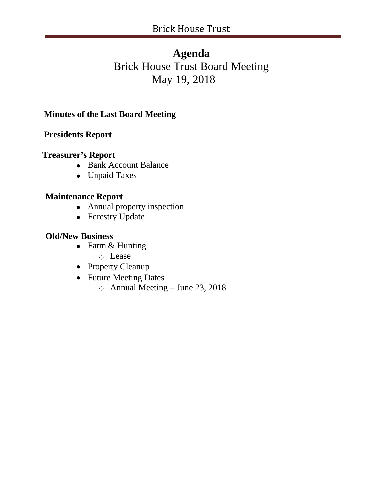# **Agenda** Brick House Trust Board Meeting May 19, 2018

# **Minutes of the Last Board Meeting**

# **Presidents Report**

### **Treasurer's Report**

- Bank Account Balance
- Unpaid Taxes

### **Maintenance Report**

- Annual property inspection
- Forestry Update

### **Old/New Business**

- Farm & Hunting
	- o Lease
- Property Cleanup
- Future Meeting Dates
	- o Annual Meeting June 23, 2018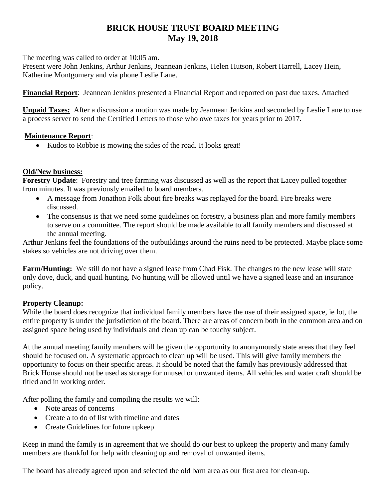# **BRICK HOUSE TRUST BOARD MEETING May 19, 2018**

The meeting was called to order at 10:05 am.

Present were John Jenkins, Arthur Jenkins, Jeannean Jenkins, Helen Hutson, Robert Harrell, Lacey Hein, Katherine Montgomery and via phone Leslie Lane.

**Financial Report**: Jeannean Jenkins presented a Financial Report and reported on past due taxes. Attached

**Unpaid Taxes:** After a discussion a motion was made by Jeannean Jenkins and seconded by Leslie Lane to use a process server to send the Certified Letters to those who owe taxes for years prior to 2017.

### **Maintenance Report**:

• Kudos to Robbie is mowing the sides of the road. It looks great!

### **Old/New business:**

**Forestry Update**: Forestry and tree farming was discussed as well as the report that Lacey pulled together from minutes. It was previously emailed to board members.

- A message from Jonathon Folk about fire breaks was replayed for the board. Fire breaks were discussed.
- The consensus is that we need some guidelines on forestry, a business plan and more family members to serve on a committee. The report should be made available to all family members and discussed at the annual meeting.

Arthur Jenkins feel the foundations of the outbuildings around the ruins need to be protected. Maybe place some stakes so vehicles are not driving over them.

**Farm/Hunting:** We still do not have a signed lease from Chad Fisk. The changes to the new lease will state only dove, duck, and quail hunting. No hunting will be allowed until we have a signed lease and an insurance policy.

### **Property Cleanup:**

While the board does recognize that individual family members have the use of their assigned space, ie lot, the entire property is under the jurisdiction of the board. There are areas of concern both in the common area and on assigned space being used by individuals and clean up can be touchy subject.

At the annual meeting family members will be given the opportunity to anonymously state areas that they feel should be focused on. A systematic approach to clean up will be used. This will give family members the opportunity to focus on their specific areas. It should be noted that the family has previously addressed that Brick House should not be used as storage for unused or unwanted items. All vehicles and water craft should be titled and in working order.

After polling the family and compiling the results we will:

- Note areas of concerns
- Create a to do of list with timeline and dates
- Create Guidelines for future upkeep

Keep in mind the family is in agreement that we should do our best to upkeep the property and many family members are thankful for help with cleaning up and removal of unwanted items.

The board has already agreed upon and selected the old barn area as our first area for clean-up.